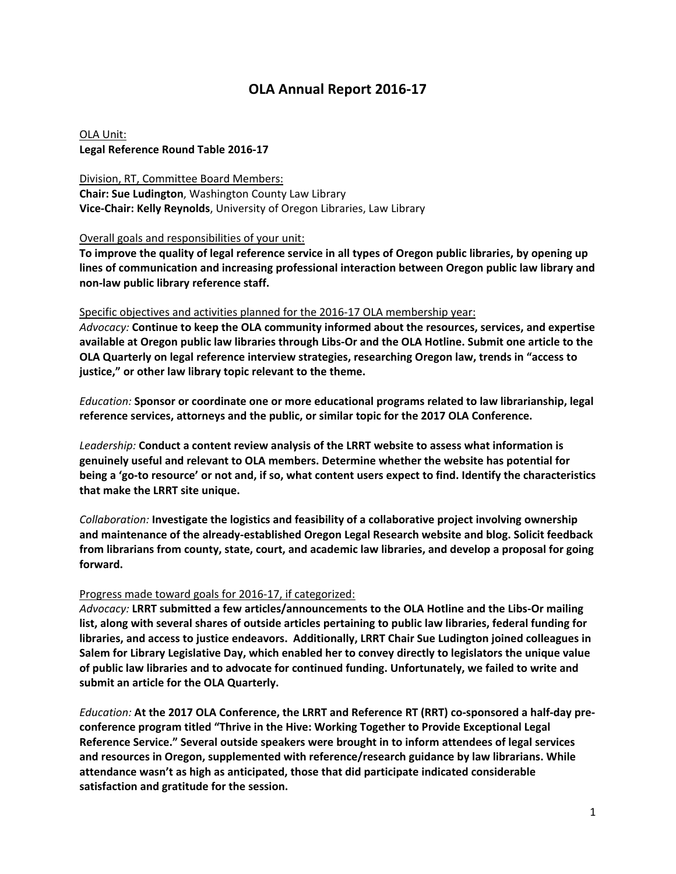## **OLA Annual Report 2016‐17**

OLA Unit: **Legal Reference Round Table 2016‐17**

Division, RT, Committee Board Members: **Chair: Sue Ludington**, Washington County Law Library **Vice‐Chair: Kelly Reynolds**, University of Oregon Libraries, Law Library

Overall goals and responsibilities of your unit:

To improve the quality of legal reference service in all types of Oregon public libraries, by opening up **lines of communication and increasing professional interaction between Oregon public law library and non‐law public library reference staff.**

## Specific objectives and activities planned for the 2016‐17 OLA membership year:

*Advocacy:* **Continue to keep the OLA community informed about the resources, services, and expertise** available at Oregon public law libraries through Libs-Or and the OLA Hotline. Submit one article to the **OLA Quarterly on legal reference interview strategies, researching Oregon law, trends in "access to justice," or other law library topic relevant to the theme.**

*Education:* **Sponsor or coordinate one or more educational programs related to law librarianship, legal reference services, attorneys and the public, or similar topic for the 2017 OLA Conference.**

*Leadership:* **Conduct a content review analysis of the LRRT website to assess what information is genuinely useful and relevant to OLA members. Determine whether the website has potential for** being a 'go-to resource' or not and, if so, what content users expect to find. Identify the characteristics **that make the LRRT site unique.**

*Collaboration:* **Investigate the logistics and feasibility of a collaborative project involving ownership and maintenance of the already‐established Oregon Legal Research website and blog. Solicit feedback from librarians from county, state, court, and academic law libraries, and develop a proposal for going forward.**

## Progress made toward goals for 2016‐17, if categorized:

*Advocacy:* **LRRT submitted a few articles/announcements to the OLA Hotline and the Libs‐Or mailing list, along with several shares of outside articles pertaining to public law libraries, federal funding for libraries, and access to justice endeavors. Additionally, LRRT Chair Sue Ludington joined colleagues in Salem for Library Legislative Day, which enabled her to convey directly to legislators the unique value of public law libraries and to advocate for continued funding. Unfortunately, we failed to write and submit an article for the OLA Quarterly.**

*Education:* At the 2017 OLA Conference, the LRRT and Reference RT (RRT) co-sponsored a half-day pre**conference program titled "Thrive in the Hive: Working Together to Provide Exceptional Legal Reference Service." Several outside speakers were brought in to inform attendees of legal services and resources in Oregon, supplemented with reference/research guidance by law librarians. While attendance wasn't as high as anticipated, those that did participate indicated considerable satisfaction and gratitude for the session.**